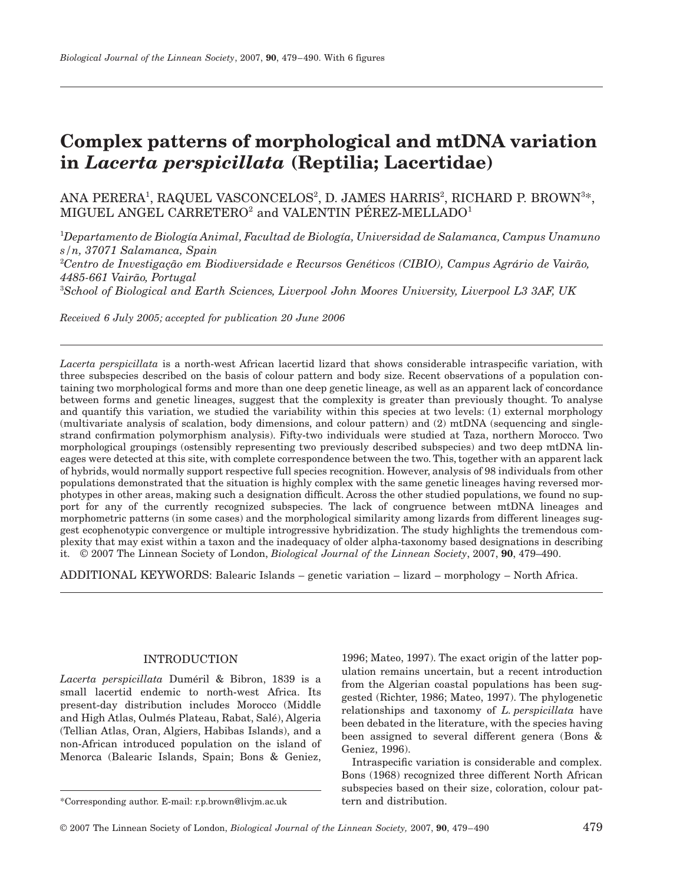# **Complex patterns of morphological and mtDNA variation in** *Lacerta perspicillata* **(Reptilia; Lacertidae)**

## ANA PERERA<sup>1</sup>, RAQUEL VASCONCELOS<sup>2</sup>, D. JAMES HARRIS<sup>2</sup>, RICHARD P. BROWN<sup>3\*</sup>, MIGUEL ANGEL CARRETERO<sup>2</sup> and VALENTIN PÉREZ-MELLADO<sup>1</sup>

1 *Departamento de Biología Animal, Facultad de Biología, Universidad de Salamanca, Campus Unamuno s/n, 37071 Salamanca, Spain* 2 *Centro de Investigação em Biodiversidade e Recursos Genéticos (CIBIO), Campus Agrário de Vairão,* 

*4485-661 Vairão, Portugal*

3 *School of Biological and Earth Sciences, Liverpool John Moores University, Liverpool L3 3AF, UK*

*Received 6 July 2005; accepted for publication 20 June 2006*

*Lacerta perspicillata* is a north-west African lacertid lizard that shows considerable intraspecific variation, with three subspecies described on the basis of colour pattern and body size. Recent observations of a population containing two morphological forms and more than one deep genetic lineage, as well as an apparent lack of concordance between forms and genetic lineages, suggest that the complexity is greater than previously thought. To analyse and quantify this variation, we studied the variability within this species at two levels: (1) external morphology (multivariate analysis of scalation, body dimensions, and colour pattern) and (2) mtDNA (sequencing and singlestrand confirmation polymorphism analysis). Fifty-two individuals were studied at Taza, northern Morocco. Two morphological groupings (ostensibly representing two previously described subspecies) and two deep mtDNA lineages were detected at this site, with complete correspondence between the two. This, together with an apparent lack of hybrids, would normally support respective full species recognition. However, analysis of 98 individuals from other populations demonstrated that the situation is highly complex with the same genetic lineages having reversed morphotypes in other areas, making such a designation difficult. Across the other studied populations, we found no support for any of the currently recognized subspecies. The lack of congruence between mtDNA lineages and morphometric patterns (in some cases) and the morphological similarity among lizards from different lineages suggest ecophenotypic convergence or multiple introgressive hybridization. The study highlights the tremendous complexity that may exist within a taxon and the inadequacy of older alpha-taxonomy based designations in describing it. © 2007 The Linnean Society of London, *Biological Journal of the Linnean Society*, 2007, **90**, 479–490.

ADDITIONAL KEYWORDS: Balearic Islands – genetic variation – lizard – morphology – North Africa.

### INTRODUCTION

*Lacerta perspicillata* Duméril & Bibron, 1839 is a small lacertid endemic to north-west Africa. Its present-day distribution includes Morocco (Middle and High Atlas, Oulmés Plateau, Rabat, Salé), Algeria (Tellian Atlas, Oran, Algiers, Habibas Islands), and a non-African introduced population on the island of Menorca (Balearic Islands, Spain; Bons & Geniez,

1996; Mateo, 1997). The exact origin of the latter population remains uncertain, but a recent introduction from the Algerian coastal populations has been suggested (Richter, 1986; Mateo, 1997). The phylogenetic relationships and taxonomy of *L. perspicillata* have been debated in the literature, with the species having been assigned to several different genera (Bons & Geniez, 1996).

Intraspecific variation is considerable and complex. Bons (1968) recognized three different North African subspecies based on their size, coloration, colour pattern and distribution.

<sup>\*</sup>Corresponding author. E-mail: r.p.brown@livjm.ac.uk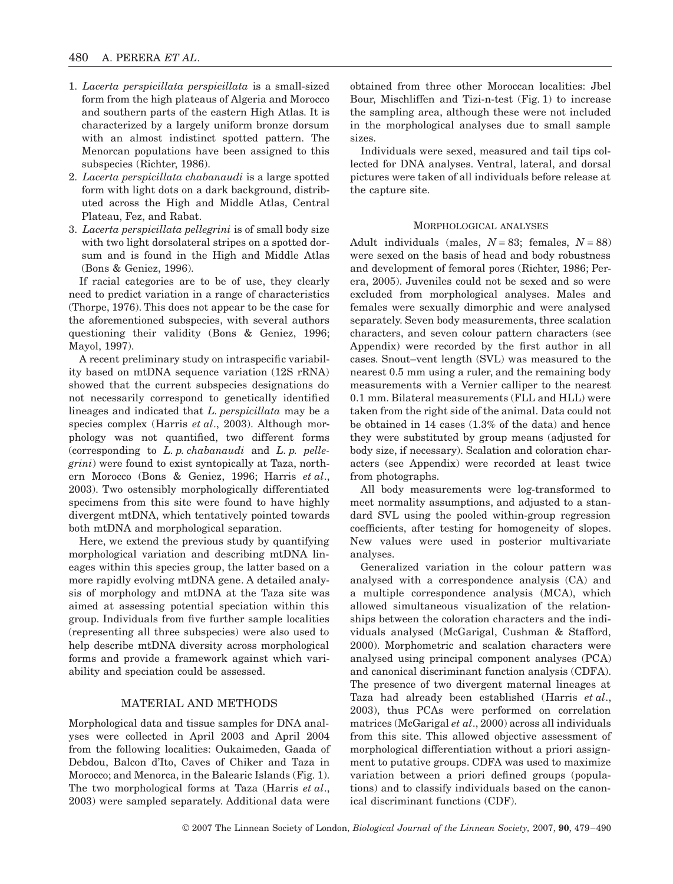- 1. *Lacerta perspicillata perspicillata* is a small-sized form from the high plateaus of Algeria and Morocco and southern parts of the eastern High Atlas. It is characterized by a largely uniform bronze dorsum with an almost indistinct spotted pattern. The Menorcan populations have been assigned to this subspecies (Richter, 1986).
- 2. *Lacerta perspicillata chabanaudi* is a large spotted form with light dots on a dark background, distributed across the High and Middle Atlas, Central Plateau, Fez, and Rabat.
- 3. *Lacerta perspicillata pellegrini* is of small body size with two light dorsolateral stripes on a spotted dorsum and is found in the High and Middle Atlas (Bons & Geniez, 1996).

If racial categories are to be of use, they clearly need to predict variation in a range of characteristics (Thorpe, 1976). This does not appear to be the case for the aforementioned subspecies, with several authors questioning their validity (Bons & Geniez, 1996; Mayol, 1997).

A recent preliminary study on intraspecific variability based on mtDNA sequence variation (12S rRNA) showed that the current subspecies designations do not necessarily correspond to genetically identified lineages and indicated that *L. perspicillata* may be a species complex (Harris *et al*., 2003). Although morphology was not quantified, two different forms (corresponding to *L. p. chabanaudi* and *L. p. pellegrini*) were found to exist syntopically at Taza, northern Morocco (Bons & Geniez, 1996; Harris *et al*., 2003). Two ostensibly morphologically differentiated specimens from this site were found to have highly divergent mtDNA, which tentatively pointed towards both mtDNA and morphological separation.

Here, we extend the previous study by quantifying morphological variation and describing mtDNA lineages within this species group, the latter based on a more rapidly evolving mtDNA gene. A detailed analysis of morphology and mtDNA at the Taza site was aimed at assessing potential speciation within this group. Individuals from five further sample localities (representing all three subspecies) were also used to help describe mtDNA diversity across morphological forms and provide a framework against which variability and speciation could be assessed.

#### MATERIAL AND METHODS

Morphological data and tissue samples for DNA analyses were collected in April 2003 and April 2004 from the following localities: Oukaimeden, Gaada of Debdou, Balcon d'Ito, Caves of Chiker and Taza in Morocco; and Menorca, in the Balearic Islands (Fig. 1). The two morphological forms at Taza (Harris *et al*., 2003) were sampled separately. Additional data were

obtained from three other Moroccan localities: Jbel Bour, Mischliffen and Tizi-n-test (Fig. 1) to increase the sampling area, although these were not included in the morphological analyses due to small sample sizes.

Individuals were sexed, measured and tail tips collected for DNA analyses. Ventral, lateral, and dorsal pictures were taken of all individuals before release at the capture site.

#### MORPHOLOGICAL ANALYSES

Adult individuals (males,  $N = 83$ ; females,  $N = 88$ ) were sexed on the basis of head and body robustness and development of femoral pores (Richter, 1986; Perera, 2005). Juveniles could not be sexed and so were excluded from morphological analyses. Males and females were sexually dimorphic and were analysed separately. Seven body measurements, three scalation characters, and seven colour pattern characters (see Appendix) were recorded by the first author in all cases. Snout–vent length (SVL) was measured to the nearest 0.5 mm using a ruler, and the remaining body measurements with a Vernier calliper to the nearest 0.1 mm. Bilateral measurements (FLL and HLL) were taken from the right side of the animal. Data could not be obtained in 14 cases (1.3% of the data) and hence they were substituted by group means (adjusted for body size, if necessary). Scalation and coloration characters (see Appendix) were recorded at least twice from photographs.

All body measurements were log-transformed to meet normality assumptions, and adjusted to a standard SVL using the pooled within-group regression coefficients, after testing for homogeneity of slopes. New values were used in posterior multivariate analyses.

Generalized variation in the colour pattern was analysed with a correspondence analysis (CA) and a multiple correspondence analysis (MCA), which allowed simultaneous visualization of the relationships between the coloration characters and the individuals analysed (McGarigal, Cushman & Stafford, 2000). Morphometric and scalation characters were analysed using principal component analyses (PCA) and canonical discriminant function analysis (CDFA). The presence of two divergent maternal lineages at Taza had already been established (Harris *et al*., 2003), thus PCAs were performed on correlation matrices (McGarigal *et al*., 2000) across all individuals from this site. This allowed objective assessment of morphological differentiation without a priori assignment to putative groups. CDFA was used to maximize variation between a priori defined groups (populations) and to classify individuals based on the canonical discriminant functions (CDF).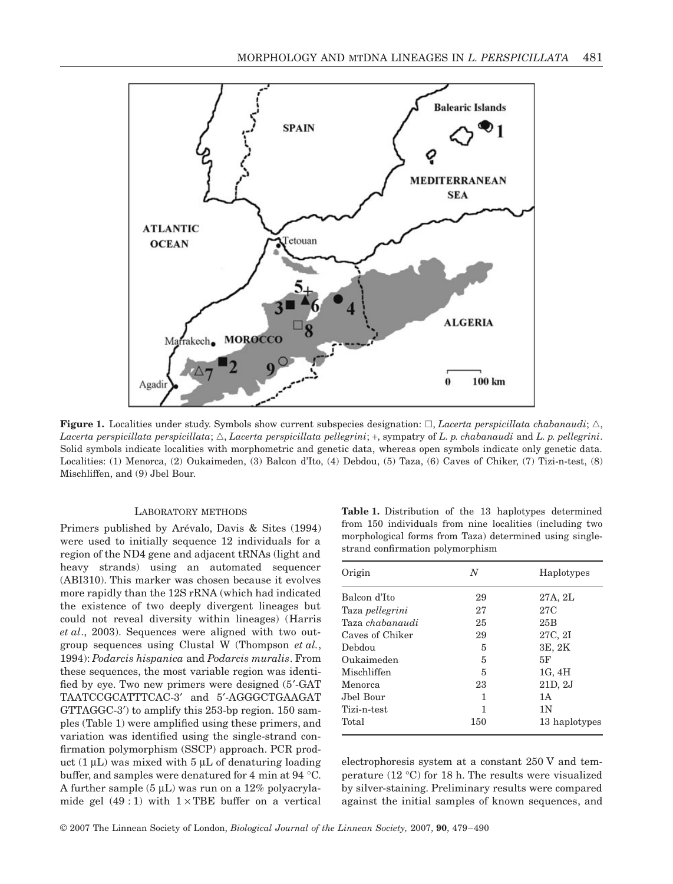

**Figure 1.** Localities under study. Symbols show current subspecies designation:  $\Box$ , *Lacerta perspicillata chabanaudi*;  $\triangle$ , *Lacerta perspicillata perspicillata*; -, *Lacerta perspicillata pellegrini*; +, sympatry of *L. p. chabanaudi* and *L. p. pellegrini*. Solid symbols indicate localities with morphometric and genetic data, whereas open symbols indicate only genetic data. Localities: (1) Menorca, (2) Oukaimeden, (3) Balcon d'Ito, (4) Debdou, (5) Taza, (6) Caves of Chiker, (7) Tizi-n-test, (8) Mischliffen, and (9) Jbel Bour.

#### LABORATORY METHODS

Primers published by Arévalo, Davis & Sites (1994) were used to initially sequence 12 individuals for a region of the ND4 gene and adjacent tRNAs (light and heavy strands) using an automated sequencer (ABI310). This marker was chosen because it evolves more rapidly than the 12S rRNA (which had indicated the existence of two deeply divergent lineages but could not reveal diversity within lineages) (Harris *et al*., 2003). Sequences were aligned with two outgroup sequences using Clustal W (Thompson *et al.*, 1994): *Podarcis hispanica* and *Podarcis muralis*. From these sequences, the most variable region was identified by eye. Two new primers were designed (5′-GAT TAATCCGCATTTCAC-3′ and 5′-AGGGCTGAAGAT GTTAGGC-3′) to amplify this 253-bp region. 150 samples (Table 1) were amplified using these primers, and variation was identified using the single-strand confirmation polymorphism (SSCP) approach. PCR product  $(1 \mu L)$  was mixed with  $5 \mu L$  of denaturing loading buffer, and samples were denatured for 4 min at 94 °C. A further sample  $(5 \mu L)$  was run on a 12% polyacrylamide gel  $(49:1)$  with  $1 \times \text{TBE}$  buffer on a vertical

**Table 1.** Distribution of the 13 haplotypes determined from 150 individuals from nine localities (including two morphological forms from Taza) determined using singlestrand confirmation polymorphism

| N   | Haplotypes     |
|-----|----------------|
| 29  | 27A, 2L        |
| 27  | 27C            |
| 25  | 25B            |
| 29  | 27C, 2I        |
| 5   | 3E, 2K         |
| 5   | 5F             |
| 5   | 1G, 4H         |
| 23  | 21D, 2J        |
| 1   | 1A             |
| 1   | 1 <sub>N</sub> |
| 150 | 13 haplotypes  |
|     |                |

electrophoresis system at a constant 250 V and temperature (12 °C) for 18 h. The results were visualized by silver-staining. Preliminary results were compared against the initial samples of known sequences, and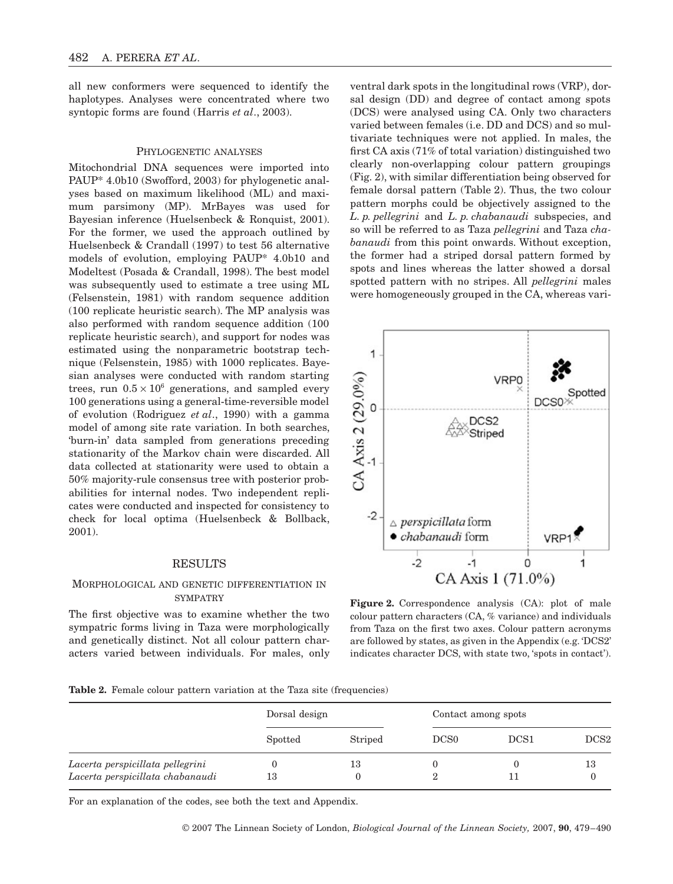all new conformers were sequenced to identify the haplotypes. Analyses were concentrated where two syntopic forms are found (Harris *et al*., 2003).

#### PHYLOGENETIC ANALYSES

Mitochondrial DNA sequences were imported into PAUP\* 4.0b10 (Swofford, 2003) for phylogenetic analyses based on maximum likelihood (ML) and maximum parsimony (MP). MrBayes was used for Bayesian inference (Huelsenbeck & Ronquist, 2001). For the former, we used the approach outlined by Huelsenbeck & Crandall (1997) to test 56 alternative models of evolution, employing PAUP\* 4.0b10 and Modeltest (Posada & Crandall, 1998). The best model was subsequently used to estimate a tree using ML (Felsenstein, 1981) with random sequence addition (100 replicate heuristic search). The MP analysis was also performed with random sequence addition (100 replicate heuristic search), and support for nodes was estimated using the nonparametric bootstrap technique (Felsenstein, 1985) with 1000 replicates. Bayesian analyses were conducted with random starting trees, run  $0.5 \times 10^6$  generations, and sampled every 100 generations using a general-time-reversible model of evolution (Rodriguez *et al*., 1990) with a gamma model of among site rate variation. In both searches, 'burn-in' data sampled from generations preceding stationarity of the Markov chain were discarded. All data collected at stationarity were used to obtain a 50% majority-rule consensus tree with posterior probabilities for internal nodes. Two independent replicates were conducted and inspected for consistency to check for local optima (Huelsenbeck & Bollback, 2001).

#### RESULTS

#### MORPHOLOGICAL AND GENETIC DIFFERENTIATION IN **SYMPATRY**

The first objective was to examine whether the two sympatric forms living in Taza were morphologically and genetically distinct. Not all colour pattern characters varied between individuals. For males, only

ventral dark spots in the longitudinal rows (VRP), dorsal design (DD) and degree of contact among spots (DCS) were analysed using CA. Only two characters varied between females (i.e. DD and DCS) and so multivariate techniques were not applied. In males, the first CA axis (71% of total variation) distinguished two clearly non-overlapping colour pattern groupings (Fig. 2), with similar differentiation being observed for female dorsal pattern (Table 2). Thus, the two colour pattern morphs could be objectively assigned to the *L. p. pellegrini* and *L. p. chabanaudi* subspecies, and so will be referred to as Taza *pellegrini* and Taza *chabanaudi* from this point onwards. Without exception, the former had a striped dorsal pattern formed by spots and lines whereas the latter showed a dorsal spotted pattern with no stripes. All *pellegrini* males were homogeneously grouped in the CA, whereas vari-

![](_page_3_Figure_8.jpeg)

**Figure 2.** Correspondence analysis (CA): plot of male colour pattern characters (CA, % variance) and individuals from Taza on the first two axes. Colour pattern acronyms are followed by states, as given in the Appendix (e.g. 'DCS2' indicates character DCS, with state two, 'spots in contact').

**Table 2.** Female colour pattern variation at the Taza site (frequencies)

|                                  | Dorsal design |         | Contact among spots |                  |                  |  |
|----------------------------------|---------------|---------|---------------------|------------------|------------------|--|
|                                  | Spotted       | Striped | DCS <sub>0</sub>    | DCS <sub>1</sub> | DCS <sub>2</sub> |  |
| Lacerta perspicillata pellegrini |               | 13      |                     |                  | 13               |  |
| Lacerta perspicillata chabanaudi | 13            |         |                     |                  |                  |  |

For an explanation of the codes, see both the text and Appendix.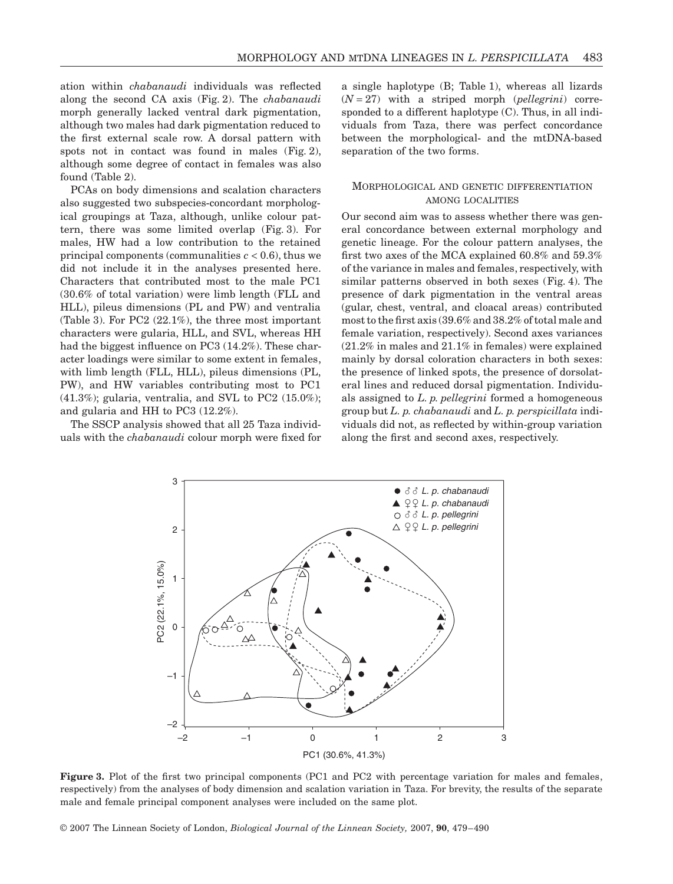ation within *chabanaudi* individuals was reflected along the second CA axis (Fig. 2). The *chabanaudi* morph generally lacked ventral dark pigmentation, although two males had dark pigmentation reduced to the first external scale row. A dorsal pattern with spots not in contact was found in males (Fig. 2), although some degree of contact in females was also found (Table 2).

PCAs on body dimensions and scalation characters also suggested two subspecies-concordant morphological groupings at Taza, although, unlike colour pattern, there was some limited overlap (Fig. 3). For males, HW had a low contribution to the retained principal components (communalities  $c < 0.6$ ), thus we did not include it in the analyses presented here. Characters that contributed most to the male PC1 (30.6% of total variation) were limb length (FLL and HLL), pileus dimensions (PL and PW) and ventralia (Table 3). For PC2 (22.1%), the three most important characters were gularia, HLL, and SVL, whereas HH had the biggest influence on PC3 (14.2%). These character loadings were similar to some extent in females, with limb length (FLL, HLL), pileus dimensions (PL, PW), and HW variables contributing most to PC1  $(41.3\%)$ ; gularia, ventralia, and SVL to PC2  $(15.0\%)$ ; and gularia and HH to PC3 (12.2%).

The SSCP analysis showed that all 25 Taza individuals with the *chabanaudi* colour morph were fixed for a single haplotype (B; Table 1), whereas all lizards  $(N = 27)$  with a striped morph (*pellegrini*) corresponded to a different haplotype (C). Thus, in all individuals from Taza, there was perfect concordance between the morphological- and the mtDNA-based separation of the two forms.

#### MORPHOLOGICAL AND GENETIC DIFFERENTIATION AMONG LOCALITIES

Our second aim was to assess whether there was general concordance between external morphology and genetic lineage. For the colour pattern analyses, the first two axes of the MCA explained 60.8% and 59.3% of the variance in males and females, respectively, with similar patterns observed in both sexes (Fig. 4). The presence of dark pigmentation in the ventral areas (gular, chest, ventral, and cloacal areas) contributed most to the first axis (39.6% and 38.2% of total male and female variation, respectively). Second axes variances (21.2% in males and 21.1% in females) were explained mainly by dorsal coloration characters in both sexes: the presence of linked spots, the presence of dorsolateral lines and reduced dorsal pigmentation. Individuals assigned to *L. p. pellegrini* formed a homogeneous group but *L. p. chabanaudi* and *L. p. perspicillata* individuals did not, as reflected by within-group variation along the first and second axes, respectively.

![](_page_4_Figure_7.jpeg)

**Figure 3.** Plot of the first two principal components (PC1 and PC2 with percentage variation for males and females, respectively) from the analyses of body dimension and scalation variation in Taza. For brevity, the results of the separate male and female principal component analyses were included on the same plot.

© 2007 The Linnean Society of London, *Biological Journal of the Linnean Society,* 2007, **90**, 479–490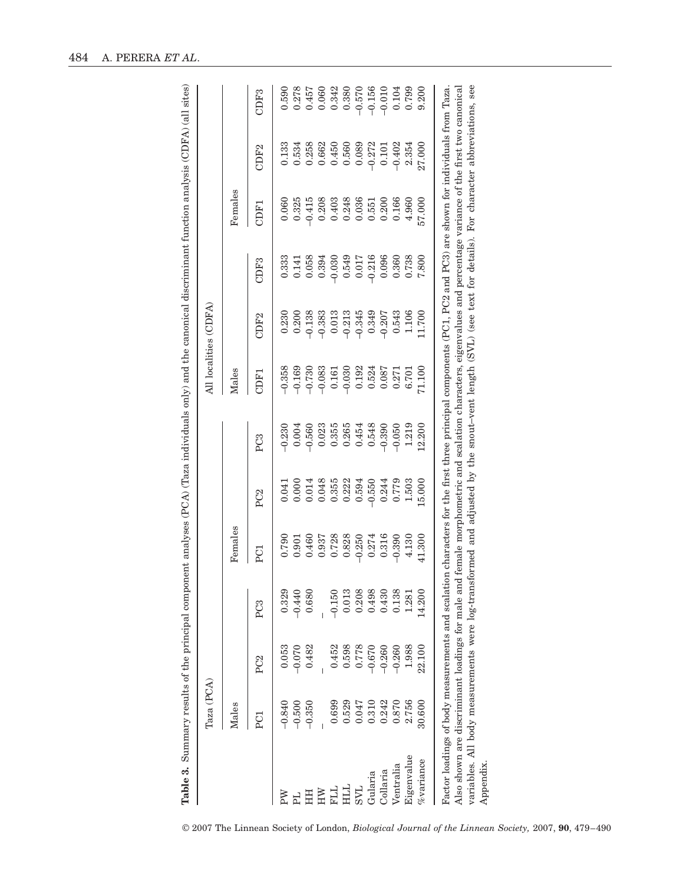| $\overline{11}$ $\overline{11}$                                                                                                                                                                                                |  |
|--------------------------------------------------------------------------------------------------------------------------------------------------------------------------------------------------------------------------------|--|
|                                                                                                                                                                                                                                |  |
| $(100 \text{ Hz})$ (d.f. 2.4)<br>$\ldots$ and $\ldots$ (CDF A) $\wedge$ (all                                                                                                                                                   |  |
|                                                                                                                                                                                                                                |  |
|                                                                                                                                                                                                                                |  |
|                                                                                                                                                                                                                                |  |
|                                                                                                                                                                                                                                |  |
|                                                                                                                                                                                                                                |  |
|                                                                                                                                                                                                                                |  |
|                                                                                                                                                                                                                                |  |
| <b>DITA WITAY ATL</b><br>no oro hit the state of control                                                                                                                                                                       |  |
|                                                                                                                                                                                                                                |  |
|                                                                                                                                                                                                                                |  |
|                                                                                                                                                                                                                                |  |
|                                                                                                                                                                                                                                |  |
|                                                                                                                                                                                                                                |  |
|                                                                                                                                                                                                                                |  |
|                                                                                                                                                                                                                                |  |
|                                                                                                                                                                                                                                |  |
| $\ddot{\phantom{a}}$                                                                                                                                                                                                           |  |
|                                                                                                                                                                                                                                |  |
|                                                                                                                                                                                                                                |  |
|                                                                                                                                                                                                                                |  |
|                                                                                                                                                                                                                                |  |
|                                                                                                                                                                                                                                |  |
|                                                                                                                                                                                                                                |  |
|                                                                                                                                                                                                                                |  |
|                                                                                                                                                                                                                                |  |
| with the company of the company of the company of the company of the company of the company of the company of the company of the company of the company of the company of the company of the company of the company of the com |  |
|                                                                                                                                                                                                                                |  |
|                                                                                                                                                                                                                                |  |
|                                                                                                                                                                                                                                |  |
|                                                                                                                                                                                                                                |  |
|                                                                                                                                                                                                                                |  |
|                                                                                                                                                                                                                                |  |
| $(200 \text{ A})$ (There in distribute)                                                                                                                                                                                        |  |
|                                                                                                                                                                                                                                |  |
|                                                                                                                                                                                                                                |  |
|                                                                                                                                                                                                                                |  |
|                                                                                                                                                                                                                                |  |
|                                                                                                                                                                                                                                |  |
|                                                                                                                                                                                                                                |  |
|                                                                                                                                                                                                                                |  |
|                                                                                                                                                                                                                                |  |
|                                                                                                                                                                                                                                |  |
|                                                                                                                                                                                                                                |  |
|                                                                                                                                                                                                                                |  |
|                                                                                                                                                                                                                                |  |
|                                                                                                                                                                                                                                |  |
|                                                                                                                                                                                                                                |  |
|                                                                                                                                                                                                                                |  |
| mant analwa                                                                                                                                                                                                                    |  |
|                                                                                                                                                                                                                                |  |
|                                                                                                                                                                                                                                |  |
| l                                                                                                                                                                                                                              |  |
|                                                                                                                                                                                                                                |  |
|                                                                                                                                                                                                                                |  |
|                                                                                                                                                                                                                                |  |
|                                                                                                                                                                                                                                |  |
| ١                                                                                                                                                                                                                              |  |
|                                                                                                                                                                                                                                |  |
|                                                                                                                                                                                                                                |  |
|                                                                                                                                                                                                                                |  |
|                                                                                                                                                                                                                                |  |
|                                                                                                                                                                                                                                |  |
|                                                                                                                                                                                                                                |  |
|                                                                                                                                                                                                                                |  |
|                                                                                                                                                                                                                                |  |
|                                                                                                                                                                                                                                |  |
|                                                                                                                                                                                                                                |  |
| :                                                                                                                                                                                                                              |  |
|                                                                                                                                                                                                                                |  |
|                                                                                                                                                                                                                                |  |
|                                                                                                                                                                                                                                |  |
|                                                                                                                                                                                                                                |  |
|                                                                                                                                                                                                                                |  |
|                                                                                                                                                                                                                                |  |
|                                                                                                                                                                                                                                |  |
|                                                                                                                                                                                                                                |  |

|                                                                                                                                                                | Taza (PCA) |                 |                  |          |                 |                                                                                                                  |                  | All localities (CDFA) |                  |          |                  |                  |
|----------------------------------------------------------------------------------------------------------------------------------------------------------------|------------|-----------------|------------------|----------|-----------------|------------------------------------------------------------------------------------------------------------------|------------------|-----------------------|------------------|----------|------------------|------------------|
|                                                                                                                                                                | Males      |                 |                  | Females  |                 |                                                                                                                  | <b>Males</b>     |                       |                  | Females  |                  |                  |
|                                                                                                                                                                | ECI        | P <sub>C2</sub> | PC <sub>3</sub>  | PC1      | PC <sub>2</sub> | PC <sub>3</sub>                                                                                                  | CDF <sub>1</sub> | CDF <sub>2</sub>      | CDF <sub>3</sub> | CDF1     | CDF <sub>2</sub> | CDF <sub>3</sub> |
| ΡW                                                                                                                                                             | $-0.840$   | 0.053           | 0.329            | 0.790    | 0.041           | $-0.230$                                                                                                         | $-0.358$         | 0.230                 | 0.333            | 0.060    | 0.133            | 0.590            |
|                                                                                                                                                                | $-0.500$   | $-0.070$        | $-0.440$         | 0.901    | 0.000           | 0.004                                                                                                            | $-0.169$         | 0.200                 | 0.141            | 0.325    | 0.534            | 0.278            |
| 픞                                                                                                                                                              | $-0.350$   | 0.482           | 0.680            | 0.460    | 0.014           | 0.560                                                                                                            | $-0.730$         | $-0.138$              | 0.058            | $-0.415$ | 0.258            | 0.457            |
| ŠΕ                                                                                                                                                             |            |                 |                  | 0.937    | 0.048           | 0.023                                                                                                            | $-0.083$         | $-0.383$              | 0.394            | 0.208    | 0.662            | 0.060            |
| <b>FLL</b>                                                                                                                                                     | 0.699      | 0.452           | $-0.150$         | 0.728    | 0.355           | 0.355                                                                                                            | 0.161            | 0.013                 | $-0.030$         | 0.403    | 0.450            | 0.342            |
| ĦЦ                                                                                                                                                             | 0.529      | 0.598           | 0.013            | 0.828    | 0.222           | 0.265                                                                                                            | $-0.030$         | $-0.213$              | 0.549            | 0.248    | 0.560            | 0.380            |
| <b>TAS</b>                                                                                                                                                     | 0.047      | 0.778           | 0.208            | $-0.250$ | 0.594           | 0.454                                                                                                            | 0.192            | $-0.345$              | 0.017            | 0.036    | 0.089            | $-0.570$         |
| Gularia                                                                                                                                                        | 0.310      | $-0.670$        | 0.498            | 0.274    | $-0.550$        | 0.548                                                                                                            | 0.524            | 0.349                 | $-0.216$         | 0.551    | $-0.272$         | $-0.156$         |
| <b>Collaria</b>                                                                                                                                                | 0.242      | $-0.260$        | 0.43(            | 0.316    | 0.244           | $-0.390$                                                                                                         | 0.087            | $-0.207$              | 0.096            | 0.200    | 0.101            | $-0.010$         |
| Ventralia                                                                                                                                                      | 0.870      | $-0.260$        | $\infty$<br>0.13 | $-0.390$ | 0.779           | $-0.050$                                                                                                         | 0.271            | 0.543                 | 0.360            | 0.166    | $-0.402$         | 0.104            |
| Eigenvalue                                                                                                                                                     | 2.756      | 1.988           | 1.28             | 4.130    | 1.503           | 1.219                                                                                                            | 6.701            | 1.106                 | 0.738            | 4.960    | 2.354            | 0.799            |
| %variance                                                                                                                                                      | 30.600     | 22.100          | 14.20            | 41.300   | 15.000          | 12.200                                                                                                           | 71.100           | .1.700                | 7.800            | 57.000   | 27.000           | 9.200            |
| Factor loadings of body measurements and scalation characters for the first three principal components (PC1, PC2 and PC3) are shown for individuals from Taza. |            |                 |                  |          |                 |                                                                                                                  |                  |                       |                  |          |                  |                  |
| Also shown are discriminant loadings for male:                                                                                                                 |            |                 |                  |          |                 | and female morphometric and scalation characters, eigenvalues and percentage variance of the first two canonical |                  |                       |                  |          |                  |                  |
| variables. All body measurements were log-transformed and adjusted by the snout-vent length (SVL) (see text for details). For character abbreviations, see     |            |                 |                  |          |                 |                                                                                                                  |                  |                       |                  |          |                  |                  |
| Appendix                                                                                                                                                       |            |                 |                  |          |                 |                                                                                                                  |                  |                       |                  |          |                  |                  |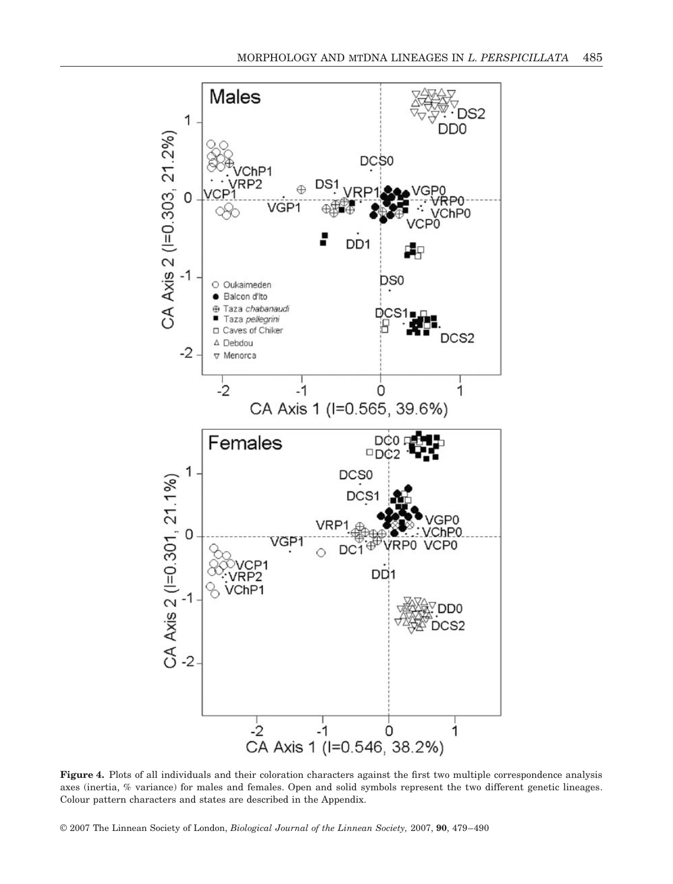![](_page_6_Figure_1.jpeg)

**Figure 4.** Plots of all individuals and their coloration characters against the first two multiple correspondence analysis axes (inertia, % variance) for males and females. Open and solid symbols represent the two different genetic lineages. Colour pattern characters and states are described in the Appendix.

© 2007 The Linnean Society of London, *Biological Journal of the Linnean Society,* 2007, **90**, 479–490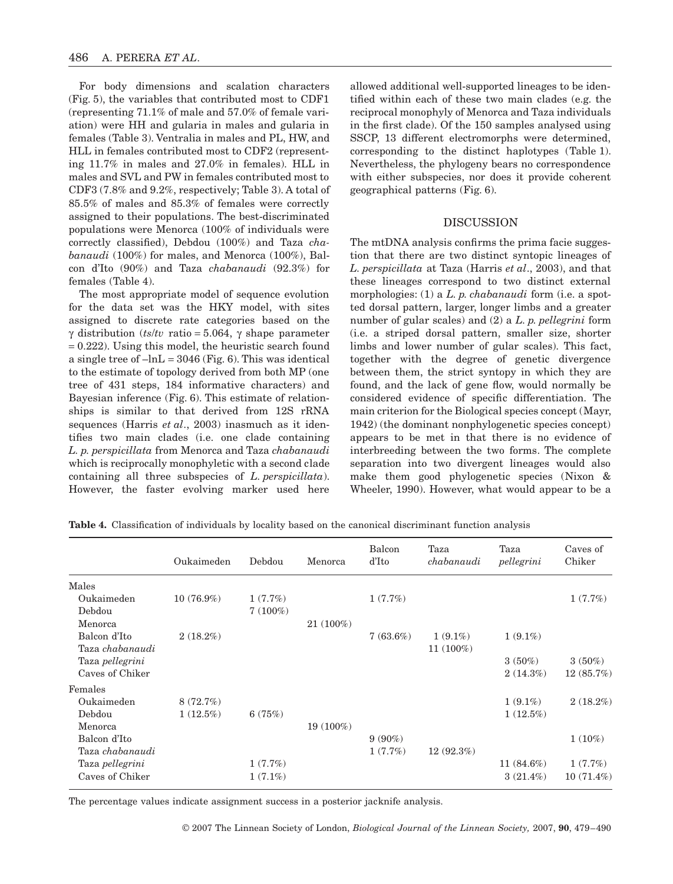For body dimensions and scalation characters (Fig. 5), the variables that contributed most to CDF1 (representing 71.1% of male and 57.0% of female variation) were HH and gularia in males and gularia in females (Table 3). Ventralia in males and PL, HW, and HLL in females contributed most to CDF2 (representing 11.7% in males and 27.0% in females). HLL in males and SVL and PW in females contributed most to CDF3 (7.8% and 9.2%, respectively; Table 3). A total of 85.5% of males and 85.3% of females were correctly assigned to their populations. The best-discriminated populations were Menorca (100% of individuals were correctly classified), Debdou (100%) and Taza *chabanaudi* (100%) for males, and Menorca (100%), Balcon d'Ito (90%) and Taza *chabanaudi* (92.3%) for females (Table 4).

The most appropriate model of sequence evolution for the data set was the HKY model, with sites assigned to discrete rate categories based on the γ distribution (*ts*/*tv* ratio = 5.064, γ shape parameter  $= 0.222$ ). Using this model, the heuristic search found a single tree of  $-\ln L = 3046$  (Fig. 6). This was identical to the estimate of topology derived from both MP (one tree of 431 steps, 184 informative characters) and Bayesian inference (Fig. 6). This estimate of relationships is similar to that derived from 12S rRNA sequences (Harris *et al*., 2003) inasmuch as it identifies two main clades (i.e. one clade containing *L. p. perspicillata* from Menorca and Taza *chabanaudi* which is reciprocally monophyletic with a second clade containing all three subspecies of *L. perspicillata*). However, the faster evolving marker used here

allowed additional well-supported lineages to be identified within each of these two main clades (e.g. the reciprocal monophyly of Menorca and Taza individuals in the first clade). Of the 150 samples analysed using SSCP, 13 different electromorphs were determined, corresponding to the distinct haplotypes (Table 1). Nevertheless, the phylogeny bears no correspondence with either subspecies, nor does it provide coherent geographical patterns (Fig. 6).

### DISCUSSION

The mtDNA analysis confirms the prima facie suggestion that there are two distinct syntopic lineages of *L. perspicillata* at Taza (Harris *et al*., 2003), and that these lineages correspond to two distinct external morphologies: (1) a *L. p. chabanaudi* form (i.e. a spotted dorsal pattern, larger, longer limbs and a greater number of gular scales) and (2) a *L. p. pellegrini* form (i.e. a striped dorsal pattern, smaller size, shorter limbs and lower number of gular scales). This fact, together with the degree of genetic divergence between them, the strict syntopy in which they are found, and the lack of gene flow, would normally be considered evidence of specific differentiation. The main criterion for the Biological species concept (Mayr, 1942) (the dominant nonphylogenetic species concept) appears to be met in that there is no evidence of interbreeding between the two forms. The complete separation into two divergent lineages would also make them good phylogenetic species (Nixon & Wheeler, 1990). However, what would appear to be a

|  |  | Table 4. Classification of individuals by locality based on the canonical discriminant function analysis |  |  |  |  |  |  |  |
|--|--|----------------------------------------------------------------------------------------------------------|--|--|--|--|--|--|--|
|--|--|----------------------------------------------------------------------------------------------------------|--|--|--|--|--|--|--|

|                 | Oukaimeden   | Debdou     | Menorca     | Balcon<br>d'Ito | Taza<br>chabanaudi | Taza<br>pellegrini | Caves of<br>Chiker |
|-----------------|--------------|------------|-------------|-----------------|--------------------|--------------------|--------------------|
| Males           |              |            |             |                 |                    |                    |                    |
| Oukaimeden      | $10(76.9\%)$ | 1(7.7%)    |             | 1(7.7%)         |                    |                    | 1(7.7%)            |
| Debdou          |              | $7(100\%)$ |             |                 |                    |                    |                    |
| Menorca         |              |            | $21(100\%)$ |                 |                    |                    |                    |
| Balcon d'Ito    | $2(18.2\%)$  |            |             | $7(63.6\%)$     | $1(9.1\%)$         | $1(9.1\%)$         |                    |
| Taza chabanaudi |              |            |             |                 | 11 (100%)          |                    |                    |
| Taza pellegrini |              |            |             |                 |                    | $3(50\%)$          | $3(50\%)$          |
| Caves of Chiker |              |            |             |                 |                    | 2(14.3%)           | 12(85.7%)          |
| Females         |              |            |             |                 |                    |                    |                    |
| Oukaimeden      | 8(72.7%)     |            |             |                 |                    | $1(9.1\%)$         | $2(18.2\%)$        |
| Debdou          | $1(12.5\%)$  | 6(75%)     |             |                 |                    | $1(12.5\%)$        |                    |
| Menorca         |              |            | 19 (100%)   |                 |                    |                    |                    |
| Balcon d'Ito    |              |            |             | $9(90\%)$       |                    |                    | $1(10\%)$          |
| Taza chabanaudi |              |            |             | 1(7.7%)         | 12(92.3%)          |                    |                    |
| Taza pellegrini |              | 1(7.7%)    |             |                 |                    | 11 $(84.6\%)$      | 1(7.7%)            |
| Caves of Chiker |              | $1(7.1\%)$ |             |                 |                    | $3(21.4\%)$        | $10(71.4\%)$       |

The percentage values indicate assignment success in a posterior jacknife analysis.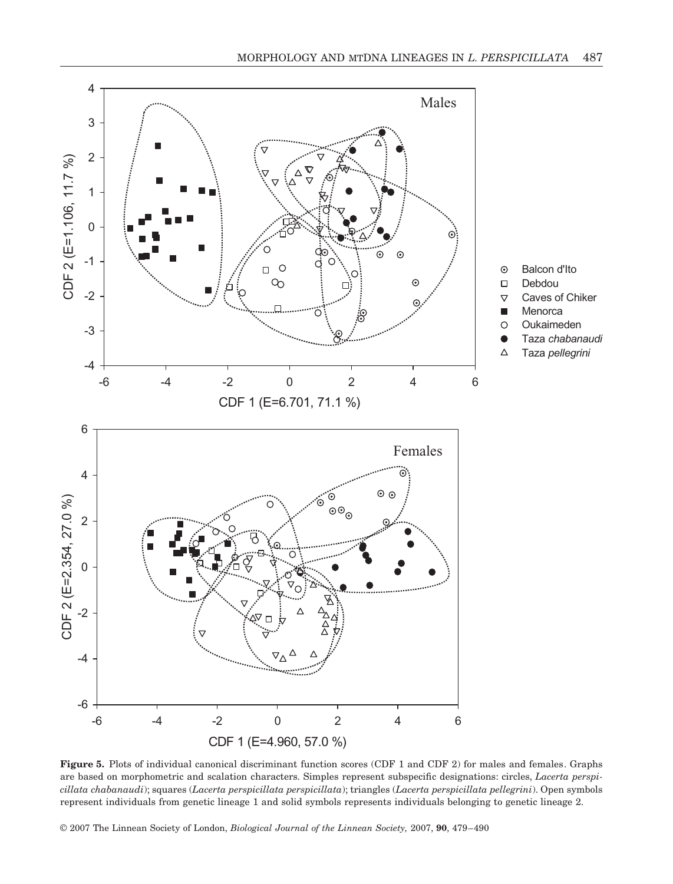![](_page_8_Figure_1.jpeg)

**Figure 5.** Plots of individual canonical discriminant function scores (CDF 1 and CDF 2) for males and females. Graphs are based on morphometric and scalation characters. Simples represent subspecific designations: circles, *Lacerta perspicillata chabanaudi*); squares (*Lacerta perspicillata perspicillata*); triangles (*Lacerta perspicillata pellegrini*). Open symbols represent individuals from genetic lineage 1 and solid symbols represents individuals belonging to genetic lineage 2.

© 2007 The Linnean Society of London, *Biological Journal of the Linnean Society,* 2007, **90**, 479–490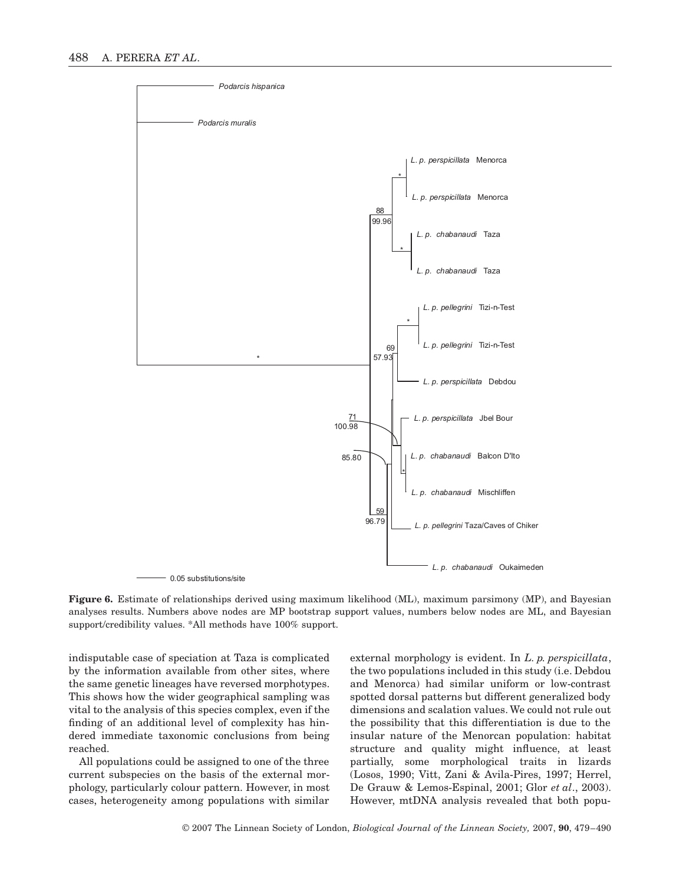![](_page_9_Figure_1.jpeg)

**Figure 6.** Estimate of relationships derived using maximum likelihood (ML), maximum parsimony (MP), and Bayesian analyses results. Numbers above nodes are MP bootstrap support values, numbers below nodes are ML, and Bayesian support/credibility values. \*All methods have 100% support.

indisputable case of speciation at Taza is complicated by the information available from other sites, where the same genetic lineages have reversed morphotypes. This shows how the wider geographical sampling was vital to the analysis of this species complex, even if the finding of an additional level of complexity has hindered immediate taxonomic conclusions from being reached.

All populations could be assigned to one of the three current subspecies on the basis of the external morphology, particularly colour pattern. However, in most cases, heterogeneity among populations with similar

external morphology is evident. In *L. p. perspicillata*, the two populations included in this study (i.e. Debdou and Menorca) had similar uniform or low-contrast spotted dorsal patterns but different generalized body dimensions and scalation values. We could not rule out the possibility that this differentiation is due to the insular nature of the Menorcan population: habitat structure and quality might influence, at least partially, some morphological traits in lizards (Losos, 1990; Vitt, Zani & Avila-Pires, 1997; Herrel, De Grauw & Lemos-Espinal, 2001; Glor *et al*., 2003). However, mtDNA analysis revealed that both popu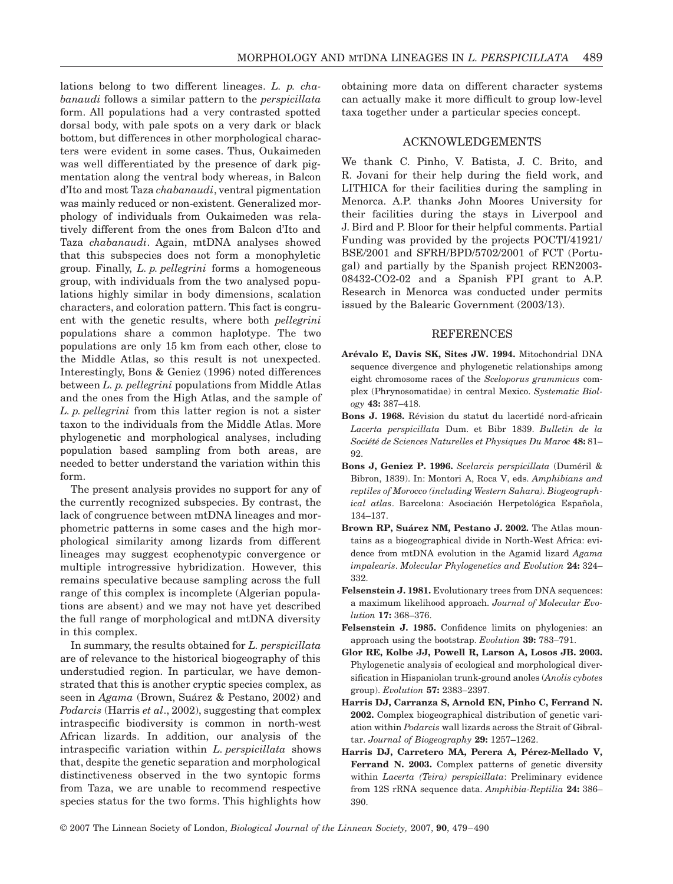lations belong to two different lineages. *L. p. chabanaudi* follows a similar pattern to the *perspicillata* form. All populations had a very contrasted spotted dorsal body, with pale spots on a very dark or black bottom, but differences in other morphological characters were evident in some cases. Thus, Oukaimeden was well differentiated by the presence of dark pigmentation along the ventral body whereas, in Balcon d'Ito and most Taza *chabanaudi*, ventral pigmentation was mainly reduced or non-existent. Generalized morphology of individuals from Oukaimeden was relatively different from the ones from Balcon d'Ito and Taza *chabanaudi*. Again, mtDNA analyses showed that this subspecies does not form a monophyletic group. Finally, *L. p. pellegrini* forms a homogeneous group, with individuals from the two analysed populations highly similar in body dimensions, scalation characters, and coloration pattern. This fact is congruent with the genetic results, where both *pellegrini* populations share a common haplotype. The two populations are only 15 km from each other, close to the Middle Atlas, so this result is not unexpected. Interestingly, Bons & Geniez (1996) noted differences between *L. p. pellegrini* populations from Middle Atlas and the ones from the High Atlas, and the sample of *L. p. pellegrini* from this latter region is not a sister taxon to the individuals from the Middle Atlas. More phylogenetic and morphological analyses, including population based sampling from both areas, are needed to better understand the variation within this form.

The present analysis provides no support for any of the currently recognized subspecies. By contrast, the lack of congruence between mtDNA lineages and morphometric patterns in some cases and the high morphological similarity among lizards from different lineages may suggest ecophenotypic convergence or multiple introgressive hybridization. However, this remains speculative because sampling across the full range of this complex is incomplete (Algerian populations are absent) and we may not have yet described the full range of morphological and mtDNA diversity in this complex.

In summary, the results obtained for *L. perspicillata* are of relevance to the historical biogeography of this understudied region. In particular, we have demonstrated that this is another cryptic species complex, as seen in *Agama* (Brown, Suárez & Pestano, 2002) and *Podarcis* (Harris *et al.*, 2002), suggesting that complex intraspecific biodiversity is common in north-west African lizards. In addition, our analysis of the intraspecific variation within *L. perspicillata* shows that, despite the genetic separation and morphological distinctiveness observed in the two syntopic forms from Taza, we are unable to recommend respective species status for the two forms. This highlights how

obtaining more data on different character systems can actually make it more difficult to group low-level taxa together under a particular species concept.

#### ACKNOWLEDGEMENTS

We thank C. Pinho, V. Batista, J. C. Brito, and R. Jovani for their help during the field work, and LITHICA for their facilities during the sampling in Menorca. A.P. thanks John Moores University for their facilities during the stays in Liverpool and J. Bird and P. Bloor for their helpful comments. Partial Funding was provided by the projects POCTI/41921/ BSE/2001 and SFRH/BPD/5702/2001 of FCT (Portugal) and partially by the Spanish project REN2003- 08432-CO2-02 and a Spanish FPI grant to A.P. Research in Menorca was conducted under permits issued by the Balearic Government (2003/13).

#### **REFERENCES**

- **Arévalo E, Davis SK, Sites JW. 1994.** Mitochondrial DNA sequence divergence and phylogenetic relationships among eight chromosome races of the *Sceloporus grammicus* complex (Phrynosomatidae) in central Mexico. *Systematic Biology* **43:** 387–418.
- **Bons J. 1968.** Révision du statut du lacertidé nord-africain *Lacerta perspicillata* Dum. et Bibr 1839. *Bulletin de la Société de Sciences Naturelles et Physiques Du Maroc* **48:** 81– 92.
- **Bons J, Geniez P. 1996.** *Scelarcis perspicillata* (Duméril & Bibron, 1839). In: Montori A, Roca V, eds. *Amphibians and reptiles of Morocco (including Western Sahara). Biogeographical atlas*. Barcelona: Asociación Herpetológica Española, 134–137.
- **Brown RP, Suárez NM, Pestano J. 2002.** The Atlas mountains as a biogeographical divide in North-West Africa: evidence from mtDNA evolution in the Agamid lizard *Agama impalearis*. *Molecular Phylogenetics and Evolution* **24:** 324– 332.
- **Felsenstein J. 1981.** Evolutionary trees from DNA sequences: a maximum likelihood approach. *Journal of Molecular Evolution* **17:** 368–376.
- **Felsenstein J. 1985.** Confidence limits on phylogenies: an approach using the bootstrap. *Evolution* **39:** 783–791.
- **Glor RE, Kolbe JJ, Powell R, Larson A, Losos JB. 2003.** Phylogenetic analysis of ecological and morphological diversification in Hispaniolan trunk-ground anoles (*Anolis cybotes* group). *Evolution* **57:** 2383–2397.
- **Harris DJ, Carranza S, Arnold EN, Pinho C, Ferrand N. 2002.** Complex biogeographical distribution of genetic variation within *Podarcis* wall lizards across the Strait of Gibraltar. *Journal of Biogeography* **29:** 1257–1262.
- **Harris DJ, Carretero MA, Perera A, Pérez-Mellado V,** Ferrand N. 2003. Complex patterns of genetic diversity within *Lacerta (Teira) perspicillata*: Preliminary evidence from 12S rRNA sequence data. *Amphibia-Reptilia* **24:** 386– 390.